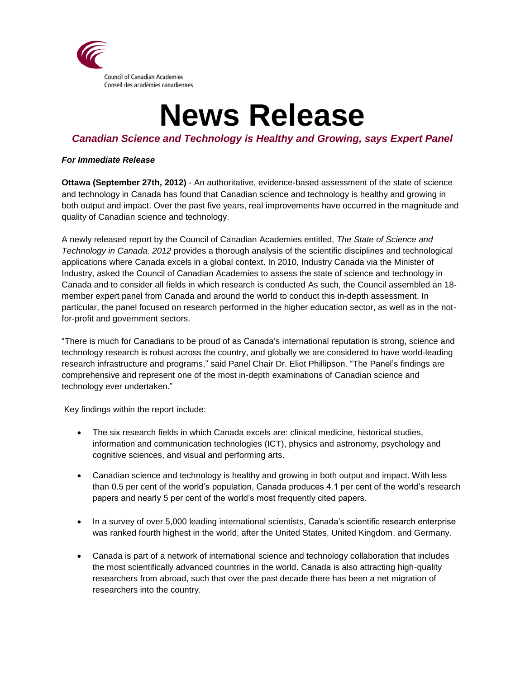

# **News Release**

## *Canadian Science and Technology is Healthy and Growing, says Expert Panel*

### *For Immediate Release*

**Ottawa (September 27th, 2012)** - An authoritative, evidence-based assessment of the state of science and technology in Canada has found that Canadian science and technology is healthy and growing in both output and impact. Over the past five years, real improvements have occurred in the magnitude and quality of Canadian science and technology.

A newly released report by the Council of Canadian Academies entitled, *The State of Science and Technology in Canada, 2012* provides a thorough analysis of the scientific disciplines and technological applications where Canada excels in a global context. In 2010, Industry Canada via the Minister of Industry, asked the Council of Canadian Academies to assess the state of science and technology in Canada and to consider all fields in which research is conducted As such, the Council assembled an 18 member expert panel from Canada and around the world to conduct this in-depth assessment. In particular, the panel focused on research performed in the higher education sector, as well as in the notfor-profit and government sectors.

"There is much for Canadians to be proud of as Canada's international reputation is strong, science and technology research is robust across the country, and globally we are considered to have world-leading research infrastructure and programs," said Panel Chair Dr. Eliot Phillipson. "The Panel's findings are comprehensive and represent one of the most in-depth examinations of Canadian science and technology ever undertaken."

Key findings within the report include:

- The six research fields in which Canada excels are: clinical medicine, historical studies, information and communication technologies (ICT), physics and astronomy, psychology and cognitive sciences, and visual and performing arts.
- Canadian science and technology is healthy and growing in both output and impact. With less than 0.5 per cent of the world's population, Canada produces 4.1 per cent of the world's research papers and nearly 5 per cent of the world's most frequently cited papers.
- In a survey of over 5,000 leading international scientists, Canada's scientific research enterprise was ranked fourth highest in the world, after the United States, United Kingdom, and Germany.
- Canada is part of a network of international science and technology collaboration that includes the most scientifically advanced countries in the world. Canada is also attracting high-quality researchers from abroad, such that over the past decade there has been a net migration of researchers into the country.